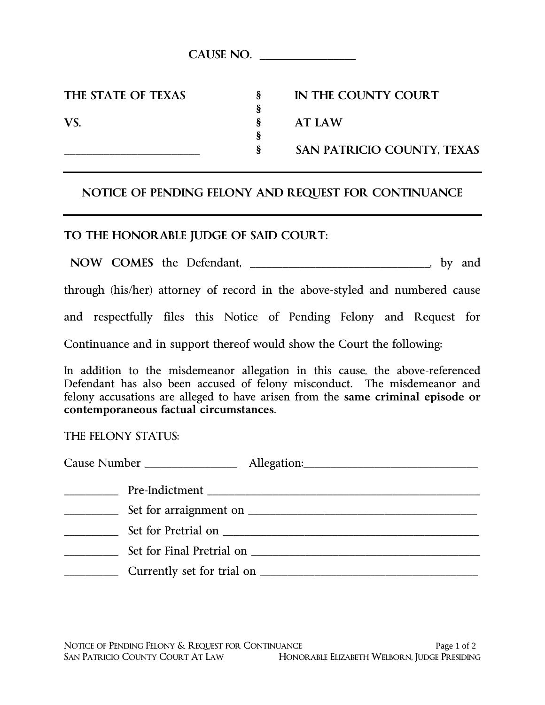**§**

**§**

**THE STATE OF TEXAS § IN THE COUNTY COURT**

**VS. § AT LAW**

**\_\_\_\_\_\_\_\_\_\_\_\_\_\_\_\_\_\_\_\_\_\_\_\_ § SAN PATRICIO COUNTY, TEXAS**

## **NOTICE OF PENDING FELONY AND REQUEST FOR CONTINUANCE**

## **TO THE HONORABLE JUDGE OF SAID COURT**:

**NOW COMES** the Defendant, \_\_\_\_\_\_\_\_\_\_\_\_\_\_\_\_\_\_\_\_\_\_\_\_\_\_\_\_\_\_\_\_\_, by and

through (his/her) attorney of record in the above-styled and numbered cause

and respectfully files this Notice of Pending Felony and Request for

Continuance and in support thereof would show the Court the following:

In addition to the misdemeanor allegation in this cause, the above-referenced Defendant has also been accused of felony misconduct. The misdemeanor and felony accusations are alleged to have arisen from the **same criminal episode or contemporaneous factual circumstances**.

## THE FELONY STATUS: